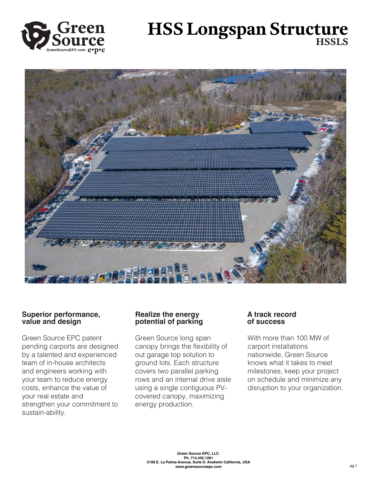

# **HSS Longspan Structure HSSLS**



## **Superior performance, value and design**

Green Source EPC patent pending carports are designed by a talented and experienced team of in-house architects and engineers working with your team to reduce energy costs, enhance the value of your real estate and strengthen your commitment to sustain-ability.

## **Realize the energy potential of parking**

Green Source long span canopy brings the flexibility of out garage top solution to ground lots. Each structure covers two parallel parking rows and an internal drive aisle using a single contiguous PVcovered canopy, maximizing energy production.

## **A track record of success**

With more than 100 MW of carport installations nationwide, Green Source knows what it takes to meet milestones, keep your project on schedule and minimize any disruption to your organization.